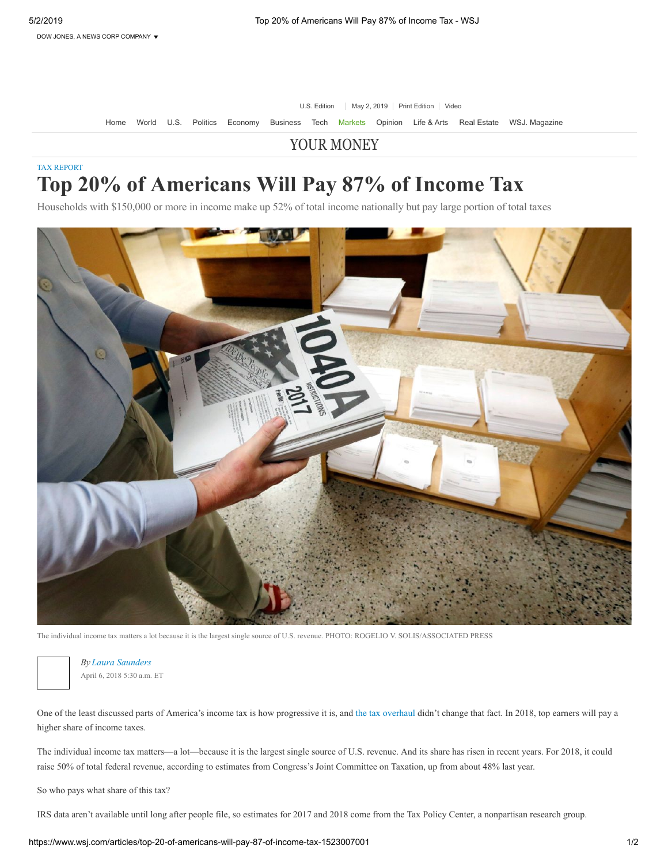U.S. Edition | May 2, 2019 | [Print Edition](https://www.wsj.com/itp) | [Video](https://www.wsj.com/video?mod=wsjheader)

[Home](https://www.wsj.com/) [World](https://www.wsj.com/news/world) [U.S.](https://www.wsj.com/news/us) [Politics](https://www.wsj.com/news/politics) [Economy](https://www.wsj.com/news/economy) [Business](https://www.wsj.com/news/business) [Tech](https://www.wsj.com/news/technology) [Markets](https://www.wsj.com/news/markets) [Opinion](https://www.wsj.com/news/opinion) [Life & Arts](https://www.wsj.com/news/life-arts) [Real Estate](https://www.wsj.com/news/realestate) [WSJ. Magazine](https://www.wsj.com/news/magazine)

## [YOUR MONEY](https://www.wsj.com/news/column/Your%20Money)

## [TAX REPORT](https://www.wsj.com/news/types/tax-report) **Top 20% of Americans Will Pay 87% of Income Tax**

Households with \$150,000 or more in income make up 52% of total income nationally but pay large portion of total taxes



The individual income tax matters a lot because it is the largest single source of U.S. revenue. PHOTO: ROGELIO V. SOLIS/ASSOCIATED PRESS



April 6, 2018 5:30 a.m. ET *By Laura Saunders*

One of the least discussed parts of America's income tax is how progressive it is, and [the tax overhaul](https://www.wsj.com/articles/trump-signs-sweeping-tax-overhaul-into-law-1513959753?mod=article_inline) didn't change that fact. In 2018, top earners will pay a higher share of income taxes.

The individual income tax matters—a lot—because it is the largest single source of U.S. revenue. And its share has risen in recent years. For 2018, it could raise 50% of total federal revenue, according to estimates from Congress's Joint Committee on Taxation, up from about 48% last year.

So who pays what share of this tax?

IRS data aren't available until long after people file, so estimates for 2017 and 2018 come from the Tax Policy Center, a nonpartisan research group.